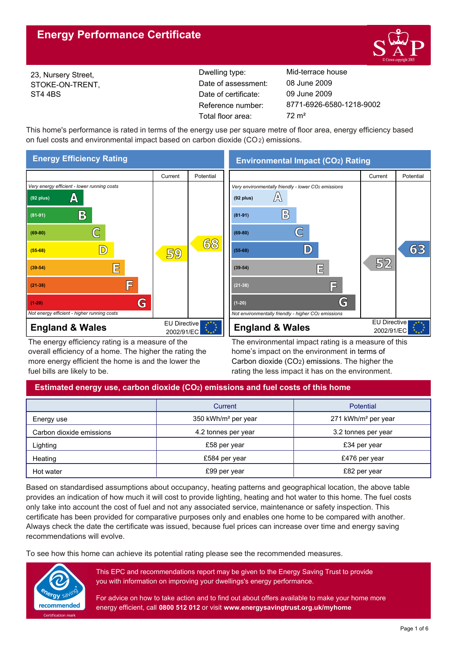# **Energy Performance Certificate**



23, Nursery Street, STOKE-ON-TRENT, ST4 4BS

Reference number: Date of certificate: Total floor area: 72 m<sup>2</sup> Date of assessment:

Dwelling type: Mid-terrace house 8771-6926-6580-1218-9002 09 June 2009 08 June 2009

This home's performance is rated in terms of the energy use per square metre of floor area, energy efficiency based on fuel costs and environmental impact based on carbon dioxide (CO2) emissions.



The energy efficiency rating is a measure of the overall efficiency of a home. The higher the rating the more energy efficient the home is and the lower the fuel bills are likely to be.

The environmental impact rating is a measure of this home's impact on the environment in terms of Carbon dioxide (CO2) emissions. The higher the rating the less impact it has on the environment.

# **Estimated energy use, carbon dioxide (CO2) emissions and fuel costs of this home**

|                          | Current                         | <b>Potential</b>                |  |  |
|--------------------------|---------------------------------|---------------------------------|--|--|
| Energy use               | 350 kWh/m <sup>2</sup> per year | 271 kWh/m <sup>2</sup> per year |  |  |
| Carbon dioxide emissions | 4.2 tonnes per year             | 3.2 tonnes per year             |  |  |
| Lighting                 | £58 per year                    | £34 per year                    |  |  |
| Heating                  | £584 per year                   | £476 per year                   |  |  |
| Hot water                | £99 per year                    | £82 per year                    |  |  |

Based on standardised assumptions about occupancy, heating patterns and geographical location, the above table provides an indication of how much it will cost to provide lighting, heating and hot water to this home. The fuel costs only take into account the cost of fuel and not any associated service, maintenance or safety inspection. This certificate has been provided for comparative purposes only and enables one home to be compared with another. Always check the date the certificate was issued, because fuel prices can increase over time and energy saving recommendations will evolve.

To see how this home can achieve its potential rating please see the recommended measures.



This EPC and recommendations report may be given to the Energy Saving Trust to provide you with information on improving your dwellings's energy performance.

For advice on how to take action and to find out about offers available to make your home more energy efficient, call **0800 512 012** or visit **www.energysavingtrust.org.uk/myhome**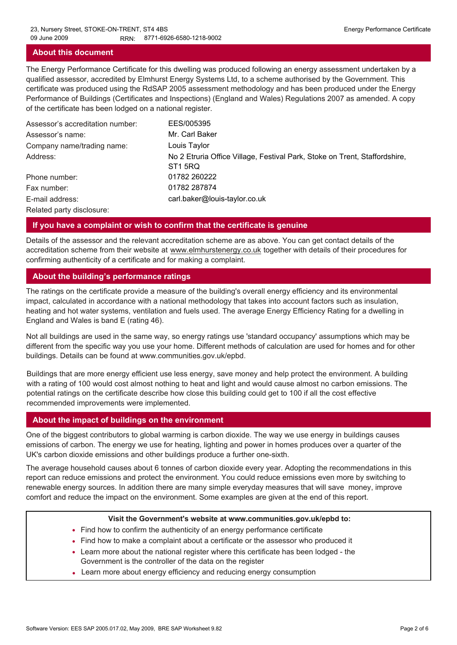# **About this document**

The Energy Performance Certificate for this dwelling was produced following an energy assessment undertaken by a qualified assessor, accredited by Elmhurst Energy Systems Ltd, to a scheme authorised by the Government. This certificate was produced using the RdSAP 2005 assessment methodology and has been produced under the Energy Performance of Buildings (Certificates and Inspections) (England and Wales) Regulations 2007 as amended. A copy of the certificate has been lodged on a national register.

| Assessor's accreditation number: | EES/005395                                                                                        |
|----------------------------------|---------------------------------------------------------------------------------------------------|
| Assessor's name:                 | Mr. Carl Baker                                                                                    |
| Company name/trading name:       | Louis Taylor                                                                                      |
| Address:                         | No 2 Etruria Office Village, Festival Park, Stoke on Trent, Staffordshire,<br>ST <sub>1</sub> 5RQ |
| Phone number:                    | 01782 260222                                                                                      |
| Fax number:                      | 01782 287874                                                                                      |
| E-mail address:                  | carl.baker@louis-taylor.co.uk                                                                     |
| Related party disclosure:        |                                                                                                   |

# **If you have a complaint or wish to confirm that the certificate is genuine**

Details of the assessor and the relevant accreditation scheme are as above. You can get contact details of the accreditation scheme from their website at www.elmhurstenergy.co.uk together with details of their procedures for confirming authenticity of a certificate and for making a complaint.

## **About the building's performance ratings**

The ratings on the certificate provide a measure of the building's overall energy efficiency and its environmental impact, calculated in accordance with a national methodology that takes into account factors such as insulation, heating and hot water systems, ventilation and fuels used. The average Energy Efficiency Rating for a dwelling in England and Wales is band E (rating 46).

Not all buildings are used in the same way, so energy ratings use 'standard occupancy' assumptions which may be different from the specific way you use your home. Different methods of calculation are used for homes and for other buildings. Details can be found at www.communities.gov.uk/epbd.

Buildings that are more energy efficient use less energy, save money and help protect the environment. A building with a rating of 100 would cost almost nothing to heat and light and would cause almost no carbon emissions. The potential ratings on the certificate describe how close this building could get to 100 if all the cost effective recommended improvements were implemented.

# **About the impact of buildings on the environment**

One of the biggest contributors to global warming is carbon dioxide. The way we use energy in buildings causes emissions of carbon. The energy we use for heating, lighting and power in homes produces over a quarter of the UK's carbon dioxide emissions and other buildings produce a further one-sixth.

The average household causes about 6 tonnes of carbon dioxide every year. Adopting the recommendations in this report can reduce emissions and protect the environment. You could reduce emissions even more by switching to renewable energy sources. In addition there are many simple everyday measures that will save money, improve comfort and reduce the impact on the environment. Some examples are given at the end of this report.

#### **Visit the Government's website at www.communities.gov.uk/epbd to:**

- Find how to confirm the authenticity of an energy performance certificate
- Find how to make a complaint about a certificate or the assessor who produced it •
- Learn more about the national register where this certificate has been lodged the Government is the controller of the data on the register
- Learn more about energy efficiency and reducing energy consumption •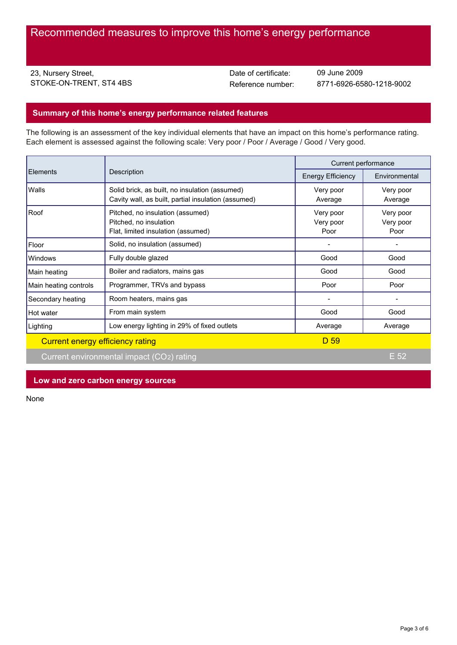23, Nursery Street, STOKE-ON-TRENT, ST4 4BS Date of certificate:

Reference number: 8771-6926-6580-1218-9002 09 June 2009

# **Summary of this home's energy performance related features**

The following is an assessment of the key individual elements that have an impact on this home's performance rating. Each element is assessed against the following scale: Very poor / Poor / Average / Good / Very good.

| <b>Elements</b>                  | Description                                                                                           | Current performance            |                                |
|----------------------------------|-------------------------------------------------------------------------------------------------------|--------------------------------|--------------------------------|
|                                  |                                                                                                       | <b>Energy Efficiency</b>       | Environmental                  |
| Walls                            | Solid brick, as built, no insulation (assumed)<br>Cavity wall, as built, partial insulation (assumed) | Very poor<br>Average           | Very poor<br>Average           |
| Roof                             | Pitched, no insulation (assumed)<br>Pitched, no insulation<br>Flat, limited insulation (assumed)      | Very poor<br>Very poor<br>Poor | Very poor<br>Very poor<br>Poor |
| Floor                            | Solid, no insulation (assumed)                                                                        |                                |                                |
| <b>Windows</b>                   | Fully double glazed                                                                                   | Good                           | Good                           |
| Main heating                     | Boiler and radiators, mains gas                                                                       | Good                           | Good                           |
| Main heating controls            | Programmer, TRVs and bypass                                                                           | Poor                           | Poor                           |
| Secondary heating                | Room heaters, mains gas                                                                               |                                |                                |
| Hot water                        | From main system                                                                                      | Good                           | Good                           |
| Lighting                         | Low energy lighting in 29% of fixed outlets                                                           | Average                        | Average                        |
| Current energy efficiency rating |                                                                                                       | D 59                           |                                |
|                                  | Current environmental impact (CO2) rating                                                             |                                | $E$ 52                         |

# **Low and zero carbon energy sources**

None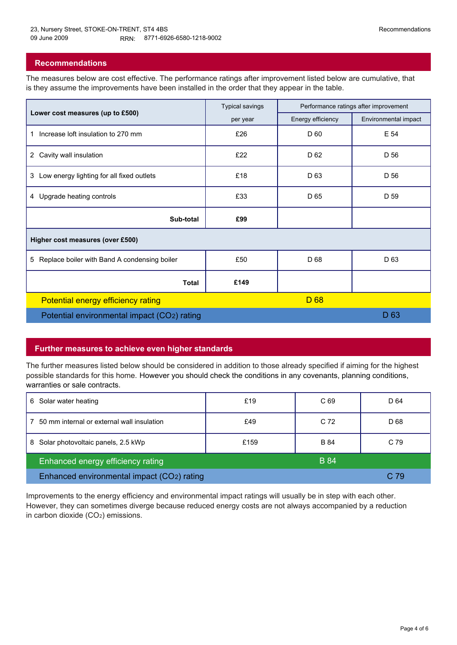# **Recommendations**

The measures below are cost effective. The performance ratings after improvement listed below are cumulative, that is they assume the improvements have been installed in the order that they appear in the table.

|                                                   | <b>Typical savings</b> | Performance ratings after improvement |                      |  |  |  |
|---------------------------------------------------|------------------------|---------------------------------------|----------------------|--|--|--|
| Lower cost measures (up to £500)                  | per year               | Energy efficiency                     | Environmental impact |  |  |  |
| Increase loft insulation to 270 mm<br>1           | £26                    | D 60                                  | E 54                 |  |  |  |
| 2 Cavity wall insulation                          | £22                    | D 62                                  | D 56                 |  |  |  |
| Low energy lighting for all fixed outlets<br>3    | £18                    | D <sub>63</sub>                       | D 56                 |  |  |  |
| 4 Upgrade heating controls                        | £33                    | D <sub>65</sub>                       | D 59                 |  |  |  |
| Sub-total                                         | £99                    |                                       |                      |  |  |  |
| Higher cost measures (over £500)                  |                        |                                       |                      |  |  |  |
| Replace boiler with Band A condensing boiler<br>5 | £50                    | D 68                                  | D <sub>63</sub>      |  |  |  |
| <b>Total</b>                                      | £149                   |                                       |                      |  |  |  |
| Potential energy efficiency rating                |                        | D 68                                  |                      |  |  |  |
| Potential environmental impact (CO2) rating       |                        | D <sub>63</sub>                       |                      |  |  |  |

# **Further measures to achieve even higher standards**

The further measures listed below should be considered in addition to those already specified if aiming for the highest possible standards for this home. However you should check the conditions in any covenants, planning conditions, warranties or sale contracts.

| 6 Solar water heating                            | £19  | C 69            | D 64            |
|--------------------------------------------------|------|-----------------|-----------------|
| 50 mm internal or external wall insulation       | £49  | C <sub>72</sub> | D <sub>68</sub> |
| 8 Solar photovoltaic panels, 2.5 kWp             | £159 | <b>B</b> 84     | C 79            |
| <b>B</b> 84<br>Enhanced energy efficiency rating |      |                 |                 |
| Enhanced environmental impact (CO2) rating       |      |                 | C 79            |

Improvements to the energy efficiency and environmental impact ratings will usually be in step with each other. However, they can sometimes diverge because reduced energy costs are not always accompanied by a reduction in carbon dioxide (CO2) emissions.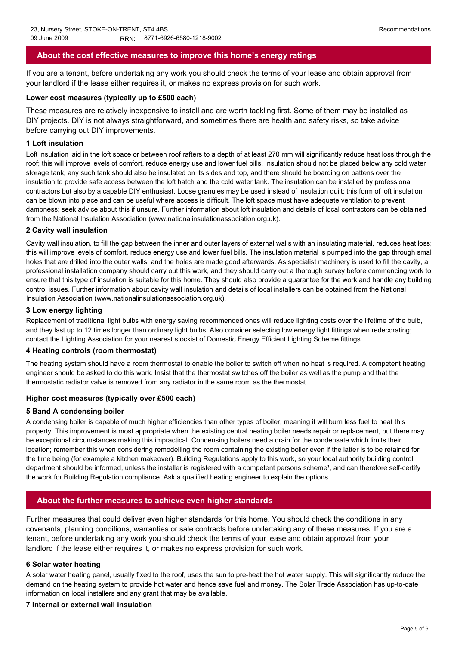# **About the cost effective measures to improve this home's energy ratings**

If you are a tenant, before undertaking any work you should check the terms of your lease and obtain approval from your landlord if the lease either requires it, or makes no express provision for such work.

## **Lower cost measures (typically up to £500 each)**

These measures are relatively inexpensive to install and are worth tackling first. Some of them may be installed as DIY projects. DIY is not always straightforward, and sometimes there are health and safety risks, so take advice before carrying out DIY improvements.

# **1 Loft insulation**

Loft insulation laid in the loft space or between roof rafters to a depth of at least 270 mm will significantly reduce heat loss through the roof; this will improve levels of comfort, reduce energy use and lower fuel bills. Insulation should not be placed below any cold water storage tank, any such tank should also be insulated on its sides and top, and there should be boarding on battens over the insulation to provide safe access between the loft hatch and the cold water tank. The insulation can be installed by professional contractors but also by a capable DIY enthusiast. Loose granules may be used instead of insulation quilt; this form of loft insulation can be blown into place and can be useful where access is difficult. The loft space must have adequate ventilation to prevent dampness; seek advice about this if unsure. Further information about loft insulation and details of local contractors can be obtained from the National Insulation Association (www.nationalinsulationassociation.org.uk).

## **2 Cavity wall insulation**

Cavity wall insulation, to fill the gap between the inner and outer layers of external walls with an insulating material, reduces heat loss; this will improve levels of comfort, reduce energy use and lower fuel bills. The insulation material is pumped into the gap through small holes that are drilled into the outer walls, and the holes are made good afterwards. As specialist machinery is used to fill the cavity, a professional installation company should carry out this work, and they should carry out a thorough survey before commencing work to ensure that this type of insulation is suitable for this home. They should also provide a guarantee for the work and handle any building control issues. Further information about cavity wall insulation and details of local installers can be obtained from the National Insulation Association (www.nationalinsulationassociation.org.uk).

# **3 Low energy lighting**

Replacement of traditional light bulbs with energy saving recommended ones will reduce lighting costs over the lifetime of the bulb, and they last up to 12 times longer than ordinary light bulbs. Also consider selecting low energy light fittings when redecorating; contact the Lighting Association for your nearest stockist of Domestic Energy Efficient Lighting Scheme fittings.

## **4 Heating controls (room thermostat)**

The heating system should have a room thermostat to enable the boiler to switch off when no heat is required. A competent heating engineer should be asked to do this work. Insist that the thermostat switches off the boiler as well as the pump and that the thermostatic radiator valve is removed from any radiator in the same room as the thermostat.

## **Higher cost measures (typically over £500 each)**

## **5 Band A condensing boiler**

A condensing boiler is capable of much higher efficiencies than other types of boiler, meaning it will burn less fuel to heat this property. This improvement is most appropriate when the existing central heating boiler needs repair or replacement, but there may be exceptional circumstances making this impractical. Condensing boilers need a drain for the condensate which limits their location; remember this when considering remodelling the room containing the existing boiler even if the latter is to be retained for the time being (for example a kitchen makeover). Building Regulations apply to this work, so your local authority building control department should be informed, unless the installer is registered with a competent persons scheme<sup>1</sup>, and can therefore self-certify the work for Building Regulation compliance. Ask a qualified heating engineer to explain the options.

# **About the further measures to achieve even higher standards**

Further measures that could deliver even higher standards for this home. You should check the conditions in any covenants, planning conditions, warranties or sale contracts before undertaking any of these measures. If you are a tenant, before undertaking any work you should check the terms of your lease and obtain approval from your landlord if the lease either requires it, or makes no express provision for such work.

## **6 Solar water heating**

A solar water heating panel, usually fixed to the roof, uses the sun to pre-heat the hot water supply. This will significantly reduce the demand on the heating system to provide hot water and hence save fuel and money. The Solar Trade Association has up-to-date information on local installers and any grant that may be available.

## **7 Internal or external wall insulation**